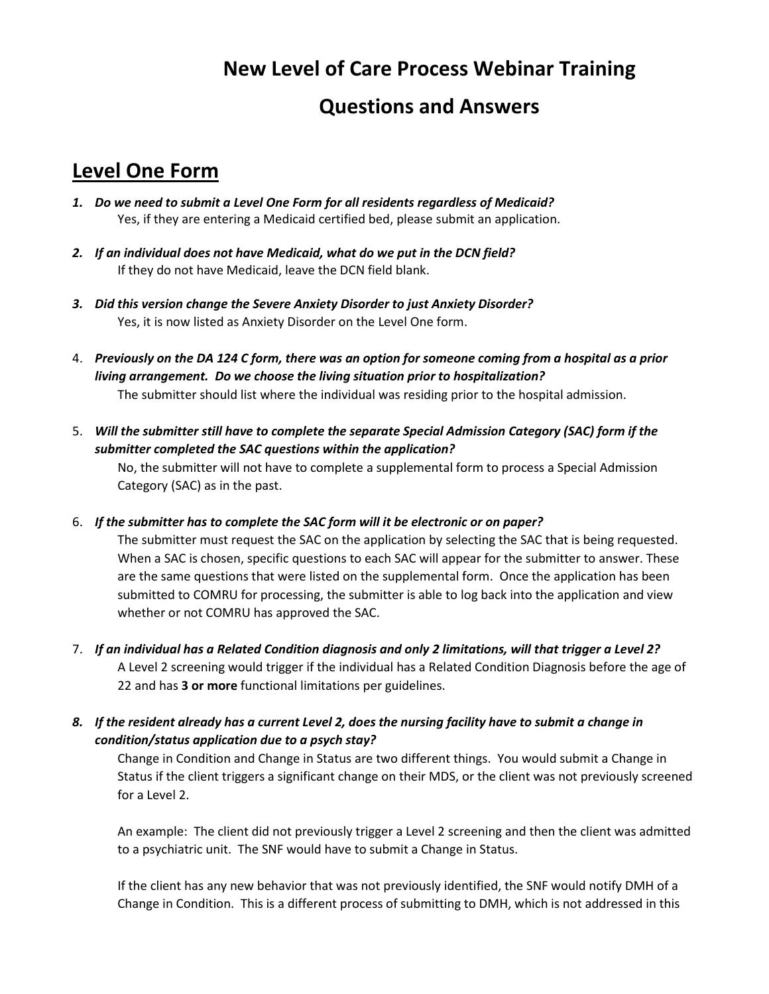## **New Level of Care Process Webinar Training**

## **Questions and Answers**

## **Level One Form**

- *1. Do we need to submit a Level One Form for all residents regardless of Medicaid?* Yes, if they are entering a Medicaid certified bed, please submit an application.
- *2. If an individual does not have Medicaid, what do we put in the DCN field?*  If they do not have Medicaid, leave the DCN field blank.
- *3. Did this version change the Severe Anxiety Disorder to just Anxiety Disorder?*  Yes, it is now listed as Anxiety Disorder on the Level One form.
- 4. *Previously on the DA 124 C form, there was an option for someone coming from a hospital as a prior living arrangement. Do we choose the living situation prior to hospitalization?* The submitter should list where the individual was residing prior to the hospital admission.
- 5. *Will the submitter still have to complete the separate Special Admission Category (SAC) form if the submitter completed the SAC questions within the application?*  No, the submitter will not have to complete a supplemental form to process a Special Admission

Category (SAC) as in the past.

6. *If the submitter has to complete the SAC form will it be electronic or on paper?* 

The submitter must request the SAC on the application by selecting the SAC that is being requested. When a SAC is chosen, specific questions to each SAC will appear for the submitter to answer. These are the same questions that were listed on the supplemental form. Once the application has been submitted to COMRU for processing, the submitter is able to log back into the application and view whether or not COMRU has approved the SAC.

- 7. *If an individual has a Related Condition diagnosis and only 2 limitations, will that trigger a Level 2?* A Level 2 screening would trigger if the individual has a Related Condition Diagnosis before the age of 22 and has **3 or more** functional limitations per guidelines.
- *8. If the resident already has a current Level 2, does the nursing facility have to submit a change in condition/status application due to a psych stay?*

Change in Condition and Change in Status are two different things. You would submit a Change in Status if the client triggers a significant change on their MDS, or the client was not previously screened for a Level 2.

An example: The client did not previously trigger a Level 2 screening and then the client was admitted to a psychiatric unit. The SNF would have to submit a Change in Status.

If the client has any new behavior that was not previously identified, the SNF would notify DMH of a Change in Condition. This is a different process of submitting to DMH, which is not addressed in this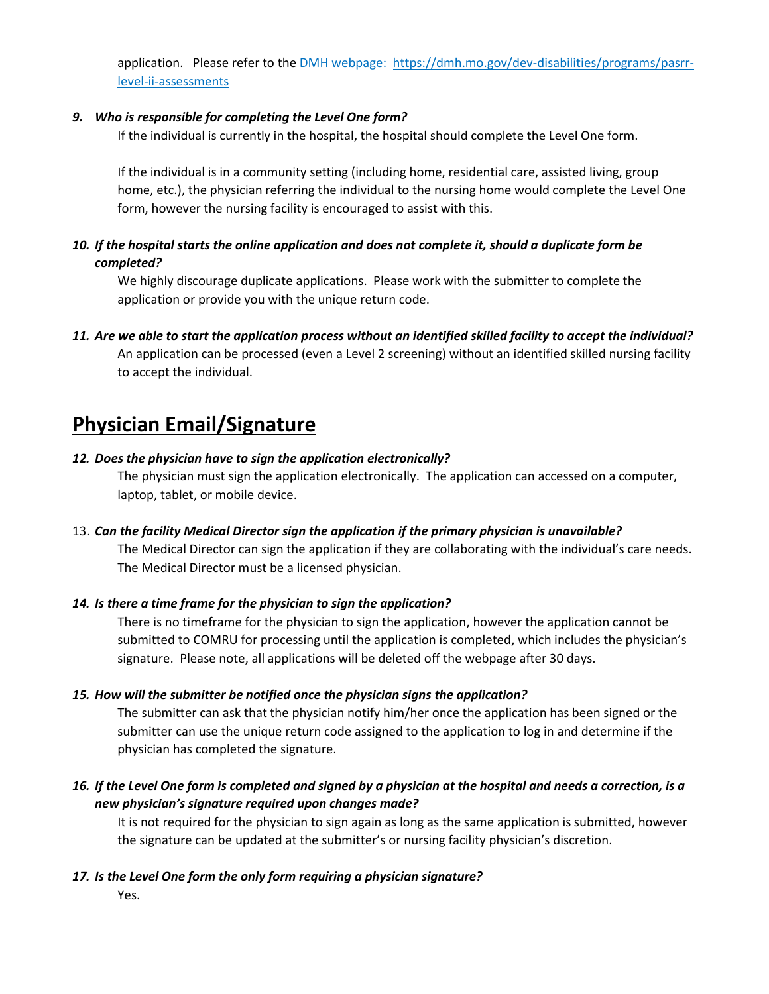application. Please refer to the DMH webpage: [https://dmh.mo.gov/dev-disabilities/programs/pasrr](https://dmh.mo.gov/dev-disabilities/programs/pasrr-level-ii-assessments)[level-ii-assessments](https://dmh.mo.gov/dev-disabilities/programs/pasrr-level-ii-assessments)

#### *9. Who is responsible for completing the Level One form?*

If the individual is currently in the hospital, the hospital should complete the Level One form.

If the individual is in a community setting (including home, residential care, assisted living, group home, etc.), the physician referring the individual to the nursing home would complete the Level One form, however the nursing facility is encouraged to assist with this.

### *10. If the hospital starts the online application and does not complete it, should a duplicate form be completed?*

We highly discourage duplicate applications. Please work with the submitter to complete the application or provide you with the unique return code.

*11. Are we able to start the application process without an identified skilled facility to accept the individual?* An application can be processed (even a Level 2 screening) without an identified skilled nursing facility to accept the individual.

## **Physician Email/Signature**

#### *12. Does the physician have to sign the application electronically?*

The physician must sign the application electronically. The application can accessed on a computer, laptop, tablet, or mobile device.

### 13. *Can the facility Medical Director sign the application if the primary physician is unavailable?*

The Medical Director can sign the application if they are collaborating with the individual's care needs. The Medical Director must be a licensed physician.

#### *14. Is there a time frame for the physician to sign the application?*

There is no timeframe for the physician to sign the application, however the application cannot be submitted to COMRU for processing until the application is completed, which includes the physician's signature. Please note, all applications will be deleted off the webpage after 30 days.

#### *15. How will the submitter be notified once the physician signs the application?*

The submitter can ask that the physician notify him/her once the application has been signed or the submitter can use the unique return code assigned to the application to log in and determine if the physician has completed the signature.

*16. If the Level One form is completed and signed by a physician at the hospital and needs a correction, is a new physician's signature required upon changes made?* 

It is not required for the physician to sign again as long as the same application is submitted, however the signature can be updated at the submitter's or nursing facility physician's discretion.

#### *17. Is the Level One form the only form requiring a physician signature?*

Yes.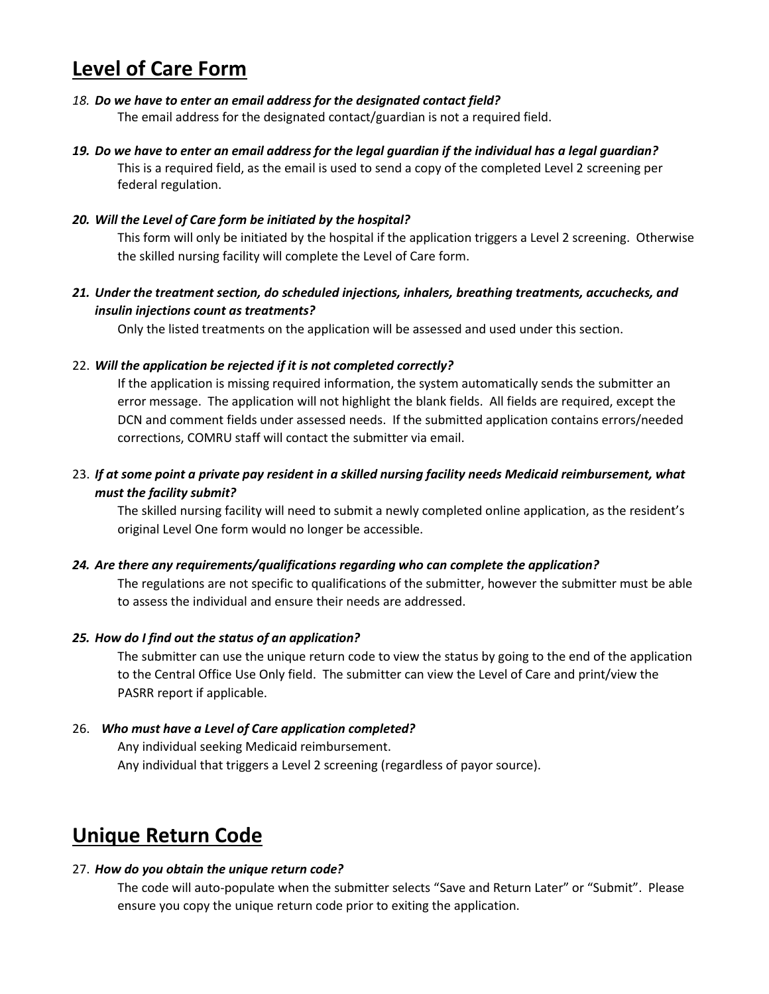# **Level of Care Form**

#### *18. Do we have to enter an email address for the designated contact field?*

The email address for the designated contact/guardian is not a required field.

*19. Do we have to enter an email address for the legal guardian if the individual has a legal guardian?* This is a required field, as the email is used to send a copy of the completed Level 2 screening per federal regulation.

#### *20. Will the Level of Care form be initiated by the hospital?*

This form will only be initiated by the hospital if the application triggers a Level 2 screening. Otherwise the skilled nursing facility will complete the Level of Care form.

### *21. Under the treatment section, do scheduled injections, inhalers, breathing treatments, accuchecks, and insulin injections count as treatments?*

Only the listed treatments on the application will be assessed and used under this section.

#### 22. *Will the application be rejected if it is not completed correctly?*

If the application is missing required information, the system automatically sends the submitter an error message. The application will not highlight the blank fields. All fields are required, except the DCN and comment fields under assessed needs. If the submitted application contains errors/needed corrections, COMRU staff will contact the submitter via email.

### 23. *If at some point a private pay resident in a skilled nursing facility needs Medicaid reimbursement, what must the facility submit?*

The skilled nursing facility will need to submit a newly completed online application, as the resident's original Level One form would no longer be accessible.

#### *24. Are there any requirements/qualifications regarding who can complete the application?*

The regulations are not specific to qualifications of the submitter, however the submitter must be able to assess the individual and ensure their needs are addressed.

#### *25. How do I find out the status of an application?*

The submitter can use the unique return code to view the status by going to the end of the application to the Central Office Use Only field. The submitter can view the Level of Care and print/view the PASRR report if applicable.

#### 26. *Who must have a Level of Care application completed?*

Any individual seeking Medicaid reimbursement. Any individual that triggers a Level 2 screening (regardless of payor source).

# **Unique Return Code**

#### 27. *How do you obtain the unique return code?*

The code will auto-populate when the submitter selects "Save and Return Later" or "Submit". Please ensure you copy the unique return code prior to exiting the application.